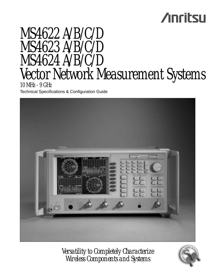# **Anritsu**

# MS4622 A/B/C/D MS4623 A/B/C/D MS4624 A/B/C/D Vector Network Measurement Systems

10 MHz - 9 GHz Technical Specifications & Configuration Guide



*Versatility to Completely Characterize Wireless Components and Systems*

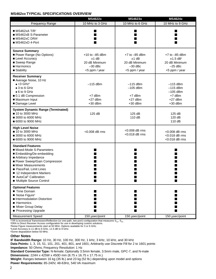#### **MS462xx TYPICAL SPECIFICATIONS OVERVIEW**

|                                                                                                                                                                                                                                                                                             | <b>MS4622x</b>                                                               | <b>MS4623x</b>                                                              | <b>MS4624x</b>                                                                             |
|---------------------------------------------------------------------------------------------------------------------------------------------------------------------------------------------------------------------------------------------------------------------------------------------|------------------------------------------------------------------------------|-----------------------------------------------------------------------------|--------------------------------------------------------------------------------------------|
| Frequency Range                                                                                                                                                                                                                                                                             | 10 MHz to 3 GHz                                                              | 10 MHz to 6 GHz                                                             | 10 MHz to 9 GHz                                                                            |
| $\blacksquare$ MS462xA T/R <sup>1</sup><br>■ MS462xB S-Parameter<br>MSA62xC, DRA <sup>2</sup><br>$\blacksquare$ MS462xD 4-Port                                                                                                                                                              |                                                                              | ■<br>■                                                                      | ■<br>■                                                                                     |
| <b>Source Summary</b><br>Power Range (No Options)<br>Level Accuracy<br>■ Sweep Range<br>■ Harmonics<br>■ Stability                                                                                                                                                                          | $+10$ to $-85$ dBm<br>$±1$ dB<br>20 dB Minimum<br>$-30$ dBc<br><5 ppm / year | $+7$ to $-85$ dBm<br>$±1$ dB<br>20 dB Minimum<br>$-30$ dBc<br><5 ppm / year | $+7$ to $-85$ dBm<br>$±1.5$ dB <sup>4</sup><br>20 dB Minimum<br>$-25$ dBc<br><5 ppm / year |
| <b>Receiver Summary</b><br>Average Noise, 10 Hz<br>$\bullet$ <3 GHz <sup>5</sup><br>$\bullet$ 3 to 6 GHz<br>$\bullet$ 6 to 9 GHz<br>■ 0.1 dB Compression<br>Maximum Input<br>Damage Level                                                                                                   | $-115$ dBm<br>$+7$ dBm<br>$+27$ dBm<br>$+30$ dBm                             | $-115$ dBm<br>$-105$ dBm<br>$+7$ dBm<br>$+27$ dBm<br>$+30$ dBm              | $-115$ dBm<br>$-115$ dBm<br>$-105$ dBm<br>$+7$ dBm<br>$+27$ dBm<br>$+30$ dBm               |
| <b>System Dynamic Range (Terminated)</b><br>■ 10 to 3000 MHz<br>■ 3000 to 6000 MHz<br>■ 6000 to 9000 MHz                                                                                                                                                                                    | 125 dB                                                                       | 125 dB<br>110 dB                                                            | 125 dB<br>120 dB<br>110 dB                                                                 |
| <b>High Level Noise</b><br>■ 10 to 3000 MHz<br>■ 3000 to 6000 MHz<br>■ 6000 to 9000 MHz                                                                                                                                                                                                     | <0.008 dB rms                                                                | <0.008 dB rms<br><0.018 dB rms                                              | $<$ 0.008 dB rms<br>$<$ 0.018 dB rms<br><0.018 dB rms                                      |
| <b>Standard Features</b><br>■ Mixed-Mode S-Parameters<br>■ Embedding/De-embedding<br>Arbitrary Impedance<br>Power Sweep/Gain Compression<br>■ Mixer Measurements<br>■ Pass/Fail, Limit Lines<br>■ 12 Independent Markers<br>■ AutoCal <sup>®</sup> Calibration<br>■ Multiple Source Control |                                                                              |                                                                             |                                                                                            |
| <b>Optional Features</b><br>Time Domain<br>$\blacksquare$ Noise Figure <sup>3</sup><br>Intermodulation Distortion<br>■ Harmonics<br>Mixer Group Delay<br>Processing Upgrade<br><b>Measurement Speed</b>                                                                                     | 150 µsec/point                                                               | 150 µsec/point                                                              | 150 µsec/point                                                                             |

1T/R is economical Transmission/Reflection (or one-path, two-port) configuration that measures  $S_{11}$ ,  $S_{21}$ .<br><sup>2</sup>DRA is Direct Receiver Access configuration for use in developing custom solutions.

3Noise Figure measurements start at 50 MHz. Options available for 3 or 6 GHz.

4Level Accuracy is ±1 dB to 6 GHz, ±1.5 dB to 9 GHz.

5Some degradation below 50 MHz.

#### **Other Notes**

**IF Bandwidth Range:** 10 Hz, 30 Hz, 100 Hz, 300 Hz, 1 kHz, 3 kHz, 10 kHz, and 30 kHz

**Data Points:** 1, 3, 15, 51, 101, 201, 401, 801, and 1601; Arbitrarily use Discrete Fill for 2 to 1601 points **Impedance:** 50 Ohms; Frequency Resolution: 1 Hz

**Standard Connector Type:** N-female; Optionally 3.5mm female, 3.5mm male, GPC-7, and N-male **Dimensions:** 224H x 425W x 450D mm (8.75 x 16.75 x 17.75 in.)

**Weight:** Ranges between 16 kg (35 lb.) and 23 kg (52 lb.) depending upon model and options

**Power Requirements:** 85-240V, 48-63Hz, 540 VA maximum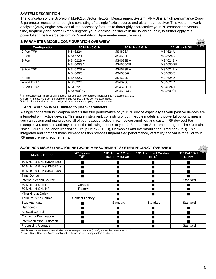#### **SYSTEM DESCRIPTION**

The foundation of the Scorpion® MS462xx Vector Network Measurement System (VNMS) is a high performance 2-port S-parameter measurement engine consisting of a single flexible source and ultra-linear receiver. This vector network analyzer (VNA) engine provides all the necessary features to thoroughly characterize your RF components versus time, frequency and power. Simply upgrade your Scorpion, as shown in the following table, to further apply this powerful engine towards performing 3 and 4-Port S-parameter measurements…

|                         | 0-LANAMETEN MODEL OONI IOONATION OYENYIEM |                        | <b>NEW</b>              |
|-------------------------|-------------------------------------------|------------------------|-------------------------|
| Configuration           | 10 MHz -3 GHz                             | 10 MHz - 6 GHz         | 10 MHz - 9 GHz          |
| 2-Port $T/R1$           | <b>MS4622A</b>                            | MS4623A                | MS4624A                 |
| 2-Port                  | MS4622B                                   | MS4623B                | MS4624B                 |
| 3-Port                  | MS4622B +<br>MS4600/3A                    | MS4623B +<br>MS4600/3B | MS4624B +<br>MS4600/3E  |
| 3-Port $T/R^2$          | $MS4622B +$<br>MS4600/6                   | MS4623B +<br>MS4600/6  | $MS4624B +$<br>MS4600/6 |
| 4-Port                  | MS4622D                                   | MS4623D                | MS4624D                 |
| 2-Port DRA <sup>3</sup> | MS4622C                                   | MS4623C                | MS4624C                 |
| 3-Port DRA <sup>3</sup> | MS4622C +<br>MS4600/3C                    | MS4623C +<br>MS4600/3D | MS4624C +<br>MS4600/3F  |

#### **S-PARAMETER MODEL CONFIGURATION OVERVIEW**

 $17/R$  is economical Transmission/Reflection (or one-path, two-port) configuration that measures  $S_{11}$ ,  $S_{21}$ .

23-Port T/R measures 2-port S-parameters plus two-path, three-port measurements.

3DRA is Direct Receiver Access configuration for use in developing custom solutions.

# **…And, Scorpion is NOT limited to just S-parameters.**

A single connection to Scorpion reveals the true performance of your RF device especially as your passive devices are integrated with active devices. This single instrument, consisting of both flexible models and powerful options, means you can design and manufacture all of your passive, active, mixer, power amplifier, and custom RF devices! For example, you can also add any or all of the following options to your 2, 3, or 4-Port S-parameter engine: Time Domain, Noise Figure, Frequency Translating Group Delay (FTGD), Harmonics and Intermodulation Distortion (IMD). This integrated and compact measurement solution provides unparalleled performance, versatility and value for all of your RF measurement requirements.

| $\Lambda$<br>SCORPION MS462xx VECTOR NETWORK MEASUREMENT SYSTEM PRODUCT OVERVIEW<br><b>NEW</b> |                                 |                                          |                                          |                          |  |  |
|------------------------------------------------------------------------------------------------|---------------------------------|------------------------------------------|------------------------------------------|--------------------------|--|--|
| <b>Model / Option</b>                                                                          | "A" Passive<br>T/R <sup>1</sup> | "B" Active / Mixer<br>Bal / Diff, 3-Port | "C" Antenna / Custom<br>DRA <sup>2</sup> | "D" Bal / Diff<br>4-Port |  |  |
| 10 MHz - 3 GHz (MS4622x)                                                                       |                                 |                                          |                                          |                          |  |  |
| 10 MHz - 6 GHz (MS4623x)                                                                       |                                 |                                          |                                          |                          |  |  |
| 10 MHz - 9 GHz (MS4624x)                                                                       |                                 |                                          |                                          |                          |  |  |
| Time Domain                                                                                    |                                 |                                          |                                          |                          |  |  |
| <b>Internal Second Source</b>                                                                  |                                 |                                          |                                          | Standard                 |  |  |
| 50 MHz - 3 GHz NF<br>50 MHz - 6 GHz NF                                                         | Contact<br>Factory              |                                          |                                          |                          |  |  |
| Mixer Group Delay                                                                              |                                 |                                          |                                          |                          |  |  |
| Third Port (No Source)                                                                         | <b>Contact Factory</b>          |                                          |                                          |                          |  |  |
| Step Attenuator                                                                                |                                 | Standard                                 | Standard                                 | Standard                 |  |  |
| <b>Harmonics</b>                                                                               |                                 |                                          |                                          |                          |  |  |
| AutoCal Control                                                                                |                                 |                                          |                                          |                          |  |  |
| <b>Connector Designation</b>                                                                   |                                 |                                          |                                          |                          |  |  |
| Intermodulation Distortion                                                                     |                                 |                                          |                                          |                          |  |  |
| <b>Processing Upgrade</b>                                                                      |                                 |                                          |                                          | Standard                 |  |  |

1T/R is economical Transmission/Reflection (or one-path, two-port) configuration that measures  $S_{11}$ ,  $S_{21}$ .<br><sup>2</sup>DRA is Direct Receiver Access configuration for use in developing custom solutions.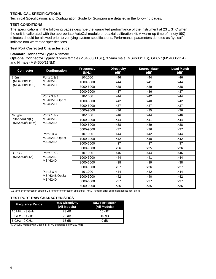# **TECHNICAL SPECIFICATIONS**

Technical Specifications and Configuration Guide for Scorpion are detailed in the following pages.

#### **TEST CONDITIONS**

The specifications in the following pages describe the warranted performance of the instrument at  $23 \pm 3$ °C when the unit is calibrated with the appropriate AutoCal module or coaxial calibration kit. A warm-up time of ninety (90) minutes should be allowed prior to verifying system specifications. Performance parameters denoted as "typical" indicate non-warranted specifications.

# **Test Port Corrected Characteristics**

#### **Standard Connector Type:** N female

**Optional Connector Types:** 3.5mm female (MS4600/11SF), 3.5mm male (MS4600/11S), GPC-7 (MS4600/11A) and N male (MS4600/11NM)

| <b>Connector</b>  | Configuration                          | <b>Frequency</b><br>(MHz) | <b>Directivity</b><br>(dB) | <b>Source Match</b><br>(dB) | <b>Load Match</b><br>(dB) |
|-------------------|----------------------------------------|---------------------------|----------------------------|-----------------------------|---------------------------|
| 3.5 <sub>mm</sub> | Ports 1 & 2                            | 10-1000                   | $>46$                      | >44                         | >46                       |
| (MS4600/11S)      | <b>MS462xB</b>                         | 1000-3000                 | >44                        | >41                         | >44                       |
| (MS4600/11SF)     | MS462xD                                | 3000-6000                 | $>38$                      | $>39$                       | $>38$                     |
|                   |                                        | 6000-9000                 | $>37$                      | $>36$                       | $>37$                     |
|                   | Ports 3 & 4                            | 10-1000                   | >44                        | $>42$                       | >44                       |
|                   | MS462xB/Opt3x                          | 1000-3000                 | $>42$                      | $>40$                       | $>42$                     |
|                   | MS462xD                                | 3000-6000                 | $>37$                      | $>37$                       | >37                       |
|                   |                                        | 6000-9000                 | $>36$                      | $>35$                       | $>36$                     |
| N-Type            | Ports 1 & 2                            | 10-1000                   | $>46$                      | $>44$                       | >46                       |
| Standard N(F)     | MS462xB<br>MS462xD                     | 1000-3000                 | >44                        | >41                         | >44                       |
| (MS4600/11NM)     |                                        | 3000-6000                 | $>38$                      | $>39$                       | >38                       |
|                   |                                        | 6000-9000                 | >37                        | $>36$                       | >37                       |
|                   | Port 3 & 4<br>MS462xB/Opt3x<br>MS462xD | 10-1000                   | >44                        | $>42$                       | >44                       |
|                   |                                        | 1000-3000                 | $>42$                      | $>40$                       | $>42$                     |
|                   |                                        | 3000-6000                 | >37                        | >37                         | >37                       |
|                   |                                        | 6000-9000                 | $>36$                      | $>35$                       | $>36$                     |
| $GPC-7$           | <b>Ports 1 &amp; 2</b>                 | 10-1000                   | $>46$                      | >44                         | >46                       |
| (MS4600/11A)      | MS462xB                                | 1000-3000                 | >44                        | >41                         | >44                       |
|                   | MS462xD                                | 3000-6000                 | $>38$                      | $>39$                       | $>38$                     |
|                   |                                        | 6000-9000                 | $>37$                      | $>36$                       | $>37$                     |
|                   | Port 3 & 4                             | 10-1000                   | >44                        | $>42$                       | >44                       |
|                   | MS462xB/Opt3x                          | 1000-3000                 | $>42$                      | $>40$                       | $>42$                     |
|                   | MS462xD                                | 3000-6000                 | >37                        | $>37$                       | $>37$                     |
|                   |                                        | 6000-9000                 | $>36$                      | $>35$                       | $>36$                     |

(12-term error correction applied; 24-term error correction applied for Port 3; 40-term error correction applied for Port 4)

#### **TEST PORT RAW CHARACTERISTICS**

| <b>Frequency Range</b> | <b>Raw Directivity</b><br>(All Models) | <b>Raw Port Match</b><br>(All Models) |  |
|------------------------|----------------------------------------|---------------------------------------|--|
| 10 MHz - 3 GHz         | 23 dB                                  | 15 $dB^*$                             |  |
| 3 GHz - 6 GHz          | 20 dB                                  | 15dB                                  |  |
| $6$ GHz - 9 GHz        | 15dB                                   | 9 dB                                  |  |

\*MS462xD models with Option 4F or 4G degraded below 100 MHz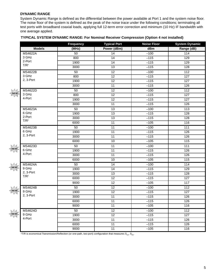# **DYNAMIC RANGE**

System Dynamic Range is defined as the differential between the power available at Port 1 and the system noise floor. The noise floor of the system is defined as the peak of the noise trace under the following conditions; terminating all test ports with broadband coaxial loads, applying full 12-term error correction and minimum (10 Hz) IF bandwidth with one average applied.

| <b>TYPICAL SYSTEM DYNAMIC RANGE: For Nominal Receiver Compression (Option 4 not installed)</b> |  |
|------------------------------------------------------------------------------------------------|--|
|------------------------------------------------------------------------------------------------|--|

|               |                                 | <b>Frequency</b> | <b>Typical Port</b> | <b>Noise Floor</b> | <b>System Dynamic</b> |
|---------------|---------------------------------|------------------|---------------------|--------------------|-----------------------|
|               | <b>Models</b>                   | (MHz)            | Power (dBm)         | dBm                | Range (dB)            |
|               | <b>MS4622A</b>                  | 50               | 14                  | $-100$             | 114                   |
|               | 3 GHz                           | 800              | 14                  | $-115$             | 129                   |
|               | 2-Port                          | 1900             | 14                  | $-115$             | 129                   |
|               | $T/R$ <sup>1</sup>              | 3000             | $\overline{13}$     | $-115$             | 128                   |
|               | <b>MS4622B</b>                  | 50               | 12                  | $-100$             | $\overline{112}$      |
|               | 3 GHz                           | 800              | 12                  | $-115$             | 127                   |
|               | 2, 3-Port                       | 1900             | $\overline{12}$     | $-115$             | 127                   |
|               |                                 | 3000             | $\overline{11}$     | $-115$             | 126                   |
| $\mathcal{A}$ | <b>MS4622D</b>                  | 50               | $\overline{12}$     | $-100$             | $\frac{112}{112}$     |
| <b>NEW</b>    | 3 GHz                           | 800              | $\overline{12}$     | $-115$             | $\overline{127}$      |
|               | 4-Port                          | 1900             | 12                  | $-115$             | 127                   |
|               |                                 | 3000             | 11                  | $-115$             | 126                   |
|               | <b>MS4623A</b>                  | $\overline{50}$  | $\overline{13}$     | $-100$             | 113                   |
|               | 6 GHz                           | 1900             | 13                  | $-115$             | 128                   |
|               | 2-Port<br>T/R <sup>1</sup>      | 3000             | 13                  | $-115$             | 128                   |
|               |                                 | 6000             | 11                  | $-105$             | $\frac{116}{116}$     |
|               | <b>MS4623B</b>                  | $\overline{50}$  | $\overline{11}$     | $-100$             | $\overline{111}$      |
|               | 6 GHz<br>2, 3-Port              | 1900             | 11                  | $-115$             | 126                   |
|               |                                 | 3000             | $\overline{11}$     | $-115$             | 126                   |
|               |                                 | 6000             | 10                  | $-105$             | $\frac{115}{115}$     |
|               | <b>MS4623D</b>                  | $\overline{50}$  | 11                  | $-100$             | $\frac{111}{11}$      |
| <b>NEW</b>    | 6 GHz                           | 1900             | 11                  | $-115$             | 126                   |
|               | 4-Port                          | 3000             | $\overline{11}$     | $-115$             | 126                   |
|               |                                 | 6000             | 10                  | $-105$             | $\frac{115}{115}$     |
| $\mathcal{M}$ | <b>MS4624A</b>                  | 50               | 14                  | $-100$             | $\frac{114}{114}$     |
| <b>NEW</b>    | 9 GHz                           | 1900             | 14                  | $-115$             | 129                   |
|               | 2, 3-Port<br>$T/R$ <sup>1</sup> | 3000             | 13                  | $-115$             | 128                   |
|               |                                 | 6000             | $\overline{12}$     | $-115$             | 127                   |
|               |                                 | 9000             | $\overline{12}$     | $-105$             | 117                   |
| M             | MS4624B                         | 50               | $\overline{12}$     | $-100$             | $\overline{112}$      |
| <b>NEW</b>    | 9 GHz                           | 1900             | 12                  | $-115$             | 127                   |
|               | 2, 3-Port                       | 3000             | $\overline{11}$     | $-115$             | 126                   |
|               |                                 | 6000             | 11                  | $-115$             | 126                   |
|               |                                 | 9000             | $\overline{11}$     | $-105$             | 116                   |
|               | MS4624D                         | 50               | $\overline{12}$     | $-100$             | $\frac{112}{112}$     |
| <b>NEW</b>    | 9 GHz                           | 1900             | $\overline{12}$     | $-115$             | 127                   |
|               | 4-Port                          | 3000             | $\overline{11}$     | $-115$             | 126                   |
|               |                                 | 6000             | 11                  | $-115$             | 126                   |
|               |                                 | 9000             | 11                  | $-105$             | 116                   |

1T/R is economical Transmission/Reflection (or one-path, two-port) configuration that measures  $S_{11}$ ,  $S_{21}$ .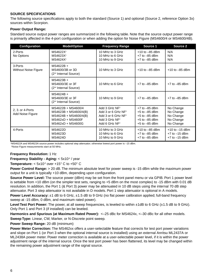# **SOURCE SPECIFICATIONS**

The following source specifications apply to both the standard (Source 1) and optional (Source 2, reference Option 3x) sources within Scorpion.

### **Power Output Range:**

Standard source output power ranges are summarized in the following table. Note that the source output power range is primarily affected in the 4-port configuration or when adding the option for Noise Figure (MS4600/4 or MS4600/4B).

| Configuration                          | <b>Model/Option</b>                                                                                              | <b>Frequency Range</b>                                                                                                    | Source 1                                                                                              | Source 2                                                      |
|----------------------------------------|------------------------------------------------------------------------------------------------------------------|---------------------------------------------------------------------------------------------------------------------------|-------------------------------------------------------------------------------------------------------|---------------------------------------------------------------|
| 2-Ports<br>No Options                  | MS4622X <sup>1</sup><br>MS4623X <sup>1</sup><br>MS4624X <sup>1</sup>                                             | 10 MHz to 3 GHz<br>10 MHz to 6 GHz<br>10 MHz to 9 GHz                                                                     | $+10$ to $-85$ dBm<br>$+7$ to $-85$ dBm<br>$+7$ to $-85$ dBm                                          | N/A<br>N/A<br>N/A                                             |
| 3-Ports<br><b>Without Noise Figure</b> | MS4622B +<br>MS4600/3B or 3D<br>(2 <sup>nd</sup> Internal Source)                                                | 10 MHz to 3 GHz                                                                                                           | $+10$ to $-85$ dBm                                                                                    | $+10$ to $-85$ dBm                                            |
|                                        | MS4623B +<br>MS4600/3E or 3F<br>(2 <sup>nd</sup> Internal Source)                                                | 10 MHz to 6 GHz                                                                                                           | $+7$ to $-85$ dBm                                                                                     | $+7$ to $-85$ dBm                                             |
|                                        | MS4624B +<br>MS4600/3E or 3F<br>(2 <sup>nd</sup> Internal Source)                                                | 10 MHz to 9 GHz                                                                                                           | $+7$ to $-85$ dBm                                                                                     | $+7$ to $-85$ dBm                                             |
| 2, 3. or 4-Ports<br>Add Noise Figure   | MS4622B + MS4600/4<br>MS4623B + MS4600/4(B)<br>$MS4624B + MS4600/4(B)$<br>MS462xD + MS4600F<br>MS462xD + MS4600G | Add 3 GHz NF <sup>2</sup><br>Add 3 or 6 GHz $NF2$<br>Add 3 or 6 GHz NF <sup>2</sup><br>Add 3 GHz $NF2$<br>Add 6 GHz $NF2$ | $+7$ to $-85$ dBm<br>$+5$ to $-85$ dBm<br>$+5$ to $-85$ dBm<br>$+5$ to $-85$ dBm<br>$+5$ to $-85$ dBm | No Change<br>No Change<br>No Change<br>No Change<br>No Change |
| 4-Ports                                | MS4622D<br>MS4623D<br>MS4624D                                                                                    | 10 MHz to 3 GHz<br>10 MHz to 6 GHz<br>10 MHz to 9 GHz                                                                     | $+10$ to $-85$ dBm<br>$+7$ to $-85$ dBm<br>$+7$ to $-85$ dBm                                          | $+10$ to $-15$ dBm<br>$+7$ to $-15$ dBm<br>$+7$ to $-15$ dBm  |

1MS4622A and MS4623A source power includes optional step attenuator; otherwise lowest port power is –15 dBm.

2Noise Figure measurements start at 50 MHz.

# **Frequency Resolution:** 1 Hz

**Frequency Stability - Aging: < 5x10<sup>-6</sup> / year** 

**Temperature:**  $< 5x10°$  over  $+15°$  C to  $+50°$  C

**Power Control Range:** > 20 dB. The minimum absolute level for power sweep is -15 dBm while the maximum power output for a unit is typically +10 dBm, depending upon configuration.

**Source Power Level:** The source power (dBm) may be set from the front panel menu or via GPIB. Port 1 power level is settable from +10 dBm (on the simpler test sets, ranging to +5 dBm on the most complex) to -15 dBm with 0.01 dB resolution. In addition, the Port 1 (& Port 3) power may be attenuated in 10 dB steps using the internal 70 dB step attenuator. Port 3 step attenuator is not available in D models. Port 1 step attenuator is optional in A models.

**Power Level Accuracy:**  $\pm 1$  dB to 6 GHz,  $\pm 1.5$  dB to 9 GHz (no flat power calibration applied; full-band frequency sweep at -15 dBm, 0 dBm, and maximum rated power).

Level Test Port Power: The power, at all sweep frequencies, is leveled to within ±1dB to 6 GHz (±1.5 dB to 9 GHz). Only Port 1 and Port 3 (if installed) can be leveled.

Harmonics and Spurious (at Maximum Rated Power): <-25 dBc for MS4624x, <-30 dBc for all other models.

**Sweep Type:** Linear, CW, Marker, or N-Discrete point sweep.

**Power Sweep Range:** 20 dB (minimum)

**Power Meter Correction:** The MS462xx offers a user-selectable feature that corrects for test port power variations and slope on Port 1 (or Port 3 when the optional internal source is installed) using an external Anritsu ML2437A or ML2438A power meter. Power meter correction is available at a user-selectable power level, if it is within the power adjustment range of the internal source. Once the test port power has been flattened, its level may be changed within the remaining power adjustment range of the signal source.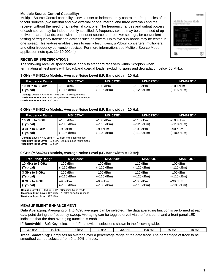# **Multiple Source Control Capability:**

Multiple Source Control capability allows a user to independently control the frequencies of up to four sources (two internal and two external or one internal and three external) and the receiver without the need for an external controller. The frequency ranges and output powers of each source may be independently specified. A frequency sweep may be comprised of up to five separate bands, each with independent source and receiver settings, for convenient testing of frequency translation devices such as mixers. Up to five sub-bands may be tested in one sweep. This feature enables users to easily test mixers, up/down converters, multipliers, and other frequency conversion devices. For more information, see Multiple Source Mode application note (p.n. 11410-00244).



#### **RECEIVER SPECIFICATIONS**

The following receiver specifications apply to standard receivers within Scorpion when terminating all test ports with broadband coaxial loads (excluding spurs and degradation below 50 MHz).

#### **3 GHz (MS4622x) Models, Average Noise Level (I.F. Bandwidth = 10 Hz):**

| <b>Frequency Range</b> | MS4622A1,2 | MS4622B1,2   | MS4622C1,3   | MS4622D <sup>1,2</sup> |
|------------------------|------------|--------------|--------------|------------------------|
| 10 MHz to 3 GHz        | $-100$ dBm | $-100$ dBm   | . –110 dBm   | $-100$ dBm             |
| , (Typical)            | (-115 dBm) | $(-115$ dBm) | $(-120$ dBm) | $(-115 dBm)$           |

1**Damage Level:** > +30 dBm, > +23 dBm noise figure mode

2**Maximum Input Level:** +27 dBm, +20 dBm noise figure mode

3**Maximum Input Level:** +20 dBm

#### **6 GHz (MS4623x) Models, Average Noise Level (I.F. Bandwidth = 10 Hz):**

| <b>Frequency Range</b> | MS4623A <sup>1,2</sup> | $MS4623B^{1,2}$ | $MS4623C^{1,3}$      | $MS4623D^{1,2}$      |
|------------------------|------------------------|-----------------|----------------------|----------------------|
| 10 MHz to 3 GHz        | $-100$ dBm             | $-100$ dBm      | –110 dBm             | –100 dBm             |
| (Typical)              | $(-115 dBm)$           | $(-115$ dBm)    | (-120 dBm)           | $(-110 \text{ dBm})$ |
| I 3 GHz to 6 GHz       | $-90$ dBm              | –90 dBm         | $-100$ dBm           | $-90$ dBm            |
| (Typical)              | (-105 dBm)             | $(-100$ dBm)    | $(-110 \text{ dBm})$ | $(-100$ dBm)         |

1**Damage Level:** > +30 dBm, > +23 dBm noise figure mode

2**Maximum Input Level:** +27 dBm, +20 dBm noise figure mode

3**Maximum Input Level:** +20 dBm

#### **9 GHz (MS4624x) Models, Average Noise Level (I.F. Bandwidth = 10 Hz):**

| <b>Frequency Range</b> | MS4624A1,2 | MS4624B1,2           | MS4624C <sup>1,2</sup> | MS4624D <sup>1,2</sup> |
|------------------------|------------|----------------------|------------------------|------------------------|
| 10 MHz to 3 GHz        | $-100$ dBm | $-100$ dBm           | $-110$ dBm             | $-100$ dBm             |
| (Typical)              | (–115 dBm) | $(-115 \text{ dBm})$ | $(-120$ dBm)           | $(-115 \text{ dBm})$   |
| 3 GHz to 6 GHz         | $-100$ dBm | $-100$ dBm           | $-110$ dBm             | $-100$ dBm             |
| (Typical)              | (–115 dBm) | $(-115 \text{ dBm})$ | $(-120$ dBm)           | $(-115 \text{ dBm})$   |
| 6 GHz to 9 GHz         | $-90$ dBm  | $-90$ dBm            | $-100$ dBm             | $-90$ dBm              |
| (Typical)              | (–105 dBm) | (-105 dBm)           | $(-110 \text{ dBm})$   | (–105 dBm)             |

1**Damage Level:** > +30 dBm, > +23 dBm noise figure mode

2**Maximum Input Level:** +27 dBm, +20 dBm noise figure mode

3**Maximum Input Level:** +20 dBm

#### **MEASUREMENT ENHANCEMENT**

**Data Averaging:** Averaging of 1 to 4096 averages can be selected. The data averaging function is performed at each data point during the frequency sweep. Averaging can be toggled on/off via the front panel and a front panel LED indicates that the data averaging function is enabled.

**IF Bandwidth:** Soft Key selection of IF bandwidth; selections shown in the following table.

| 30 kHz | $\mathbf{r}$<br>. .<br>kHz<br>10 | 3 kHz | kHz | 300 Hz | 100 Hz | 30<br>Hz | 10 H <sub>c</sub> |
|--------|----------------------------------|-------|-----|--------|--------|----------|-------------------|
|        |                                  |       |     |        |        |          |                   |

**Trace Smoothing:** Computes an average over a percentage range of the data trace. The percentage of trace to be smoothed can be selected from 0 to 20% of trace.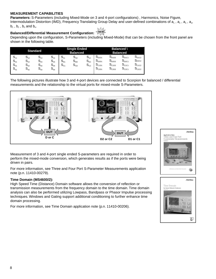#### **MEASUREMENT CAPABILITIES**

**Parameters:** S-Parameters (including Mixed-Mode on 3 and 4-port configurations) , Harmonics, Noise Figure, Intermodulation Distortion (IMD), Frequency Translating Group Delay and user-defined combinations of  $a_1, a_2, a_3, a_4$  $b_1$ ,  $b_2$ ,  $b_3$  and  $b_4$ .

#### **Balanced/Differential Measurement Configuration:**



Depending upon the configuration, S-Parameters (including Mixed-Mode) that can be chosen from the front panel are shown in the following table.

| <b>Standard</b>                              |                                              |                                                                                                        | <b>Single Ended</b><br><b>Balanced</b>       |                             |                                                    | <b>Balanced \</b><br><b>Balanced</b> |                                                      |                                                                             |                                                          |                                                                           |
|----------------------------------------------|----------------------------------------------|--------------------------------------------------------------------------------------------------------|----------------------------------------------|-----------------------------|----------------------------------------------------|--------------------------------------|------------------------------------------------------|-----------------------------------------------------------------------------|----------------------------------------------------------|---------------------------------------------------------------------------|
| $S_{11}$<br>$S_{21}$<br>$S_{31}$<br>$S_{41}$ | $S_{12}$<br>$S_{22}$<br>$S_{32}$<br>$S_{42}$ | $O_{13}$<br>$\mathsf{S}_{\scriptscriptstyle{23}}$<br>$S_{33}$<br>$\mathsf{S}_{\scriptscriptstyle{43}}$ | $S_{14}$<br>$S_{24}$<br>$S_{34}$<br>$S_{44}$ | 511<br>$S_{D1}$<br>$S_{C1}$ | $S_{1D}$<br>$S_{DD}$<br>$\mathsf{S}_{\texttt{CD}}$ | $S_{1C}$<br>$S_{DC}$<br>$S_{\rm cc}$ | $S_{D1D1}$<br>$S_{D2D1}$<br>$S_{C1D1}$<br>$S_{C2D1}$ | $S_{D1D2}$<br>$S_{D2D2}$<br>$S_{C1D2}$<br>$\mathsf{S}_{\text{\tiny{C2D2}}}$ | $S_{D1C1}$<br>$S_{D2C1}$<br>$S_{C1C1}$<br>$S_{\rm c2C1}$ | O <sub>D1C2</sub><br>S <sub>D2C2</sub><br>$S_{C1C2}$<br>O <sub>C2C2</sub> |

The following pictures illustrate how 3 and 4-port devices are connected to Scorpion for balanced / differential measurements and the relationship to the virtual ports for mixed-mode S-Parameters.



Measurement of 3 and 4-port single ended S-parameters are required in order to perform the mixed-mode conversion, which generates results as if the ports were being driven in pairs.

For more information, see Three and Four Port S-Parameter Measurements application note (p.n. 11410-00279).

#### **Time Domain (MS4600/2):**

High Speed Time (Distance) Domain software allows the conversion of reflection or transmission measurements from the frequency domain to the time domain. Time domain analysis can also be performed utilizing Lowpass, Bandpass or Phasor Impulse processing techniques. Windows and Gating support additional conditioning to further enhance time domain processing.

For more information, see Time Domain application note (p.n. 11410-00206).



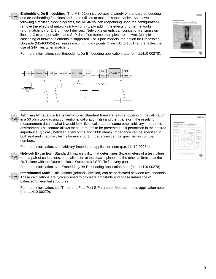**Embedding/De-Embedding:** The MS462xx incorporates a variety of standard embedding and de-embedding functions and some utilities to make this task easier. As shown in the following simplified block diagrams, the MS462xx can (depending upon the configuration) remove the effects of networks (ntwk) or virtually add in the effects of other networks (e.g., matching) for 2, 3 or 4-port devices. Network elements can consist of transmission lines, L-C circuit primatives and SnP data files (some examples are shown). Multiple cascading of network elements is supported. For 3-port models, the option for Processing Upgrade (MS4600/24) increases maximum data points (from 401 to 1601) and enables the use of S4P files when matching.



For more information, see Embedding/De-Embedding application note (p.n. 11410-00278).



**NEW**

**Arbitrary Impedance Transformations:** Standard firmware feature to perform the calibration NEW - in a 50 ohm world (using conventional calibration kits) and then transform the resulting measurement data to what it would look like if calibrated in some other arbitrary impedance environment.This feature allows measurements to be presented as if performed in the desired impedance (typically between a few ohms and 1000 ohms). Impedance can be specified in both real and imaginary terms for every port. Impedances can be specified as complex numbers.

For more information, see Arbitrary Impedance application note (p.n. 11410-00284).

**Network Extraction:** Standard firmware utility that determines S-parameters of a test fixture from a pair of calibrations: one calibration at the coaxial plane and the other calibration at the **NEW** DUT plane with the fixture in place. Output is a \*.S2P file for every port.

For more information, see Embedding/De-Embedding application note (p.n. 11410-00278).

**Interchannel Math:** Calculations (primarily division) can be performed between two channels. NEW > These calculations are typically used to calculate amplitude and phase imbalance of balanced/differential structures.

For more information, see Three and Four Port S-Parameter Measurements application note (p.n. 11410-00279).

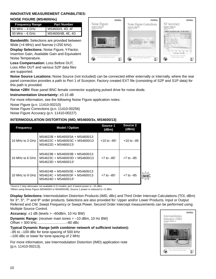# **INNOVATIVE MEASUREMENT CAPABILITIES:**

#### **NOISE FIGURE (MS4600/4x)**

| <b>Frequency Range</b> | <b>Part Number</b> |
|------------------------|--------------------|
| $50$ MHz $-$ 3 GHz     | MS4600/4, 4D, 4F   |
| $50$ MHz $-6$ GHz      | MS4600/4B, 4E, 4G  |

**Bandwidth:** Selections are provided between Wide (>4 MHz) and Narrow (<250 kHz).

**Display Selections:** Noise Figure, Y-Factor, Insertion Gain, Available Gain and Equivalent Noise Temperature.

**Loss Compensation:** Loss Before DUT, Loss After DUT and various S2P data files are supported.

**Noise Source Locations:** Noise Source (not included) can be connected either externally or internally, where the rear panel connection provides a path to Port 1 of Scorpion. Factory created EXT file (consisting of S2P and S1P data) for this path is provided.

**Noise +28V:** Rear panel BNC female connector supplying pulsed drive for noise diode.

**Instrumentation Uncertainty:** ±0.15 dB

For more information, see the following Noise Figure application notes:

Noise Figure (p.n. 11410-00210)

Noise Figure Corrections (p.n. 11410-00256) Noise Figure Accuracy (p.n. 11410-00227)

# **INTERMODULATION DISTORTION (IMD, MS4600/3x, MS4600/13)**

| <b>Frequency</b> | <b>Model / Option</b>                                                                                  | Source 1<br>(dBm) | Source 2<br>(dBm) |            |
|------------------|--------------------------------------------------------------------------------------------------------|-------------------|-------------------|------------|
| 10 MHz to 3 GHz  | MS4622B + MS4600/3A + MS4600/13<br>MS4622C + MS4600/3C + MS4600/13<br>MS4622D + MS4600/13 <sup>1</sup> | $+10$ to $-85^2$  | $+10$ to $-85$    |            |
| 10 MHz to 6 GHz  | MS4623B + MS4600/3B + MS4600/13<br>MS4623C + MS4600/3D + MS4600/13<br>MS4623D + MS4600/13 <sup>1</sup> | $+7$ to $-85^2$   | $+7$ to $-85$     |            |
| 10 MHz to 9 GHz  | MS4624B + MS4600/3E + MS4600/13<br>MS4624C + MS4600/3F + MS4600/13<br>MS4624D + MS4600/13 <sup>1</sup> | $+7$ to $-85^2$   | $+7$ to $-85$     | <b>NEW</b> |

1Source 2 step attenuator not available in D models; port 3 lowest power is –15 dBm.

2When using Noise Figure (MS4600/4 or MS4600/4B), Source 1 power is reduced to +5 dBm.

**Display Selections:** Intermodulation Distortion Products (IMD, dBc) and Third Order Intercept Calculations (TOI, dBm) for 3<sup>rd</sup>, 5<sup>th</sup>, 7<sup>th</sup> and 9<sup>th</sup> order products. Selections are also provided for: Upper and/or Lower Products, Input or Output Referred and CW, Swept Frequency or Swept Power. Second Order Intercept measurements can be performed using Multiple Source Control.

**Accuracy:** ±1 dB (levels > –60dBm, 10 Hz BW)

**Dynamic Range:** (receiver main tones = –10 dBm, 10 Hz BW)

Offset > 300 kHz..............................–80 dBc

# **Typical Dynamic Range (with combiner network of sufficient isolation):**

–85 to –100 dBc for tone-spacing of 500 kHz

–100 dBc or lower for tone-spacing of 2 MHz

For more information, see Intermodulation Distortion (IMD) application note (p.n. 11410-00213).



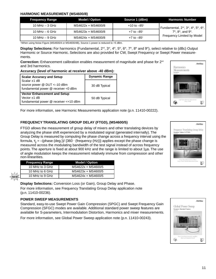#### **HARMONIC MEASUREMENT (MS4600/8)**

| <b>Frequency Range</b> | <b>Model / Option</b> | Source 1 (dBm)         | <b>Harmonic Number</b>                                                  |
|------------------------|-----------------------|------------------------|-------------------------------------------------------------------------|
| 10 MHz $-$ 3 GHz       | MS4622x + MS4600/8    | $+10$ to $-85^{\circ}$ | Fundamental, $2^{nd}$ , $3^{rd}$ , $4^{th}$ , $5^{th}$ , $6^{th}$ , $1$ |
| 10 MHz $-$ 6 GHz       | MS4623x + MS4600/8    | $+7$ to $-85^{\circ}$  | $7th$ , $8th$ , and $9th$ .                                             |
| 10 MHz $-$ 9 GHz       | MS4624x + MS4600/8    | $+7$ to $-85^{\circ}$  | <b>Frequency Limited by Model</b>                                       |

1When using Noise Figure (MS4600/4 or MS4600/4B), Source 1 power is reduced to +5 dBm.

**Display Selections:** For harmonics (Fundamental,  $2^{nd}$ ,  $3^{rd}$ ,  $4^{th}$ ,  $5^{th}$ ,  $6^{th}$ ,  $7^{th}$ ,  $8^{th}$  and  $9^{th}$ ), select relative to (dBc) Output Harmonic or Source Harmonic. Selections are also provided for CW, Swept Frequency or Swept Power measurements.

**Correction:** Enhancement calibration enables measurement of magnitude and phase for 2<sup>nd</sup> and 3rd harmonics.

#### **Accuracy (level of harmonic at receiver above -40 dBm):**

| <b>Scalar Accuracy and Setup</b>                                                                  | <b>Dynamic Range</b> |
|---------------------------------------------------------------------------------------------------|----------------------|
| Scalar $±1$ dB<br>source power @ DUT <-10 dBm<br>fundamental power @ receiver <0 dBm              | 30 dB Typical        |
| <b>Vector Enhancement and Setup</b><br>Vector $\pm$ 1 dB<br>fundamental power @ receiver <+10 dBm | 50 dB Typical        |



For more information, see Harmonic Measurements application note (p.n. 11410-00222).

# **FREQUENCY TRANSLATING GROUP DELAY (FTGD), (MS4600/5)**

FTGD allows the measurement of group delay of mixers and other translating devices by analyzing the phase shift experienced by a modulated signal (generated internally). The Group Delay is measured by computing the phase change across a frequency interval using the formula, <sup>τ</sup>*<sup>g</sup>* = –(phase (deg.))/ {360 . (frequency (Hz))} applies except the phase change is measured across the modulating bandwidth of the test signal instead of across frequency points. The aperture is fixed at about 900 kHz and the range is limited to about 1µs. The use of angle modulation keeps the measurement relatively immune from compression and other non-linearities.

| <b>Frequency Range</b> | <b>Model / Option</b> |
|------------------------|-----------------------|
| 10 MHz to 3 GHz        | MS4622x + MS4600/5    |
| 10 MHz to 6 GHz        | MS4623x + MS4600/5    |
| 10 MHz to 9 GHz        | MS4624x + MS4600/5    |

**Display Selections:** Conversion Loss (or Gain), Group Delay and Phase. For more information, see Frequency Translating Group Delay application note





**POWER SWEEP MEASUREMENTS**

(p.n. 11410-00236).

**NEW**

Standard, easy-to-use Swept Power Gain Compression (SPGC) and Swept Frequency Gain Compression (SFGC) modes are available. Additional standard power sweep features are available for S-parameters, Intermodulation Distortion, Harmonics and mixer measurements.

For more information, see Global Power Sweep application note (p.n. 11410-00243).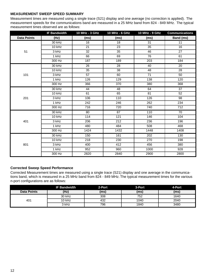# **MEASUREMENT SWEEP SPEED SUMMARY**

Measurement times are measured using a single trace (S21) display and one average (no correction is applied). The measurement speeds for the communications band are measured in a 25 MHz band from 824 - 849 MHz. The typical measurement times observed are as follows:

|                    | <b>IF Bandwidth</b> | 10 MHz - 3 GHz  | 10 MHz - 6 GHz  | 10 MHz - 9 GHz   | <b>Communications</b> |
|--------------------|---------------------|-----------------|-----------------|------------------|-----------------------|
| <b>Data Points</b> | (Hz)                | (ms)            | (ms)            | (ms)             | Band (ms)             |
|                    | 30 kHz              | $\overline{16}$ | 18              | $\overline{31}$  | 11                    |
|                    | $10$ kHz            | 21              | 23              | 35               | 16                    |
| 51                 | 3 kHz               | 32              | 35              | 46               | 27                    |
|                    | $1$ kHz             | 66              | 69              | $\overline{76}$  | 61                    |
|                    | 300 Hz              | 187             | 189             | 203              | 184                   |
|                    | 30 kHz              | $\overline{26}$ | $\overline{28}$ | 40               | $\overline{20}$       |
|                    | 10 kHz              | 35              | 38              | 48               | 28                    |
| 101                | 3 kHz               | 57              | 60              | $\overline{71}$  | 50                    |
|                    | $1$ kHz             | 126             | 129             | 138              | 120                   |
|                    | 300 Hz              | 366             | 370             | 380              | 368                   |
|                    | 30 kHz              | 44              | 48              | 64               | $\overline{37}$       |
|                    | 10 kHz              | 61              | 65              | 81               | 52                    |
| 201                | $3$ kHz             | 106             | 110             | 126              | 98                    |
|                    | 1 kHz               | 242             | 246             | 262              | 234                   |
|                    | 300 Hz              | 716             | 720             | 740              | 712                   |
|                    | 30 kHz              | 80              | 87              | 110              | $\overline{70}$       |
|                    | 10 kHz              | 114             | 121             | 146              | 104                   |
| 401                | 3 kHz               | 206             | 212             | 236              | 196                   |
|                    | 1 kHz               | 480             | 484             | 508              | 468                   |
|                    | 300 Hz              | 1424            | 1432            | 1448             | 1408                  |
|                    | 30 kHz              | 150             | 161             | $\overline{202}$ | 130                   |
|                    | 10 kHz              | 218             | 230             | 270              | 198                   |
| 801                | 3 kHz               | 400             | 412             | 456              | 380                   |
|                    | 1 kHz               | 952             | 960             | 1000             | 928                   |
|                    | 300 Hz              | 2820            | 2840            | 2900             | 2800                  |

#### **Corrected Sweep Speed Performance**

Corrected Measurement times are measured using a single trace (S21) display and one average in the communications band, which is measured in a 25 MHz band from 824 - 849 MHz. The typical measurement times for the various n-port configurations are as follows:

|                    | <b>IF Bandwidth</b> | 2-Port | 3-Port | 4-Port |
|--------------------|---------------------|--------|--------|--------|
| <b>Data Points</b> | (Hz)                | (ms)   | (ms)   | (ms)   |
|                    | 30 kHz              | 308    | 752    | 1640   |
| 401                | 10 kHz              | 432    | 1040   | 2040   |
|                    | 3 kHz               | 796    | 1840   | 3480   |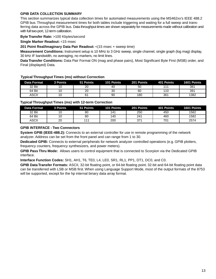# **GPIB DATA COLLECTION SUMMARY**

This section summarizes typical data collection times for automated measurements using the MS462xx's IEEE 488.2 GPIB bus. Throughput measurement times for both tables include triggering and waiting for a full sweep and transferring data across the GPIB bus. Data throughput times are shown separately for measurements made without calibration and with full two-port, 12-term calibration.

**Byte Transfer Rate:** >100 Kbytes/second

**Single Marker Readout:** <15 msec

**201 Point Real/Imaginary Data Pair Readout:** <(15 msec + sweep time)

**Measurement Conditions:** Instrument setup is 10 MHz to 3 GHz sweep, single channel, single graph (log mag) display, 30 kHz IF bandwidth, no averaging, no markers, no limit lines.

**Data Transfer Conditions:** Data Pair Format ON (mag and phase pairs), Most Significant Byte First (MSB) order, and Final (displayed) Data.

#### **Typical Throughput Times (ms) without Correction**

| Data Format | 3 Points | 51 Points   | 101 Points | 201 Points | 401 Points | 1601 Points |
|-------------|----------|-------------|------------|------------|------------|-------------|
| 32 Bit      | ١O       | 20          | 40         | 50         |            | 381         |
| 64 Bit      | ١U       | 20          | 30         | 60         | 110        | 391         |
| ASCII       | ١U       | $6^{\circ}$ | 90         | 180        | 361        | 1382        |

**Typical Throughput Times (ms) with 12-term Correction**

| Data Format | 3 Points | 51 Points | 101 Points | 201 Points | 401 Points | 1601 Points |
|-------------|----------|-----------|------------|------------|------------|-------------|
| 32 Bit      | 10       | 80        | 141        | 250        | 450        | 1582        |
| 64 Bit      | 10       | 80        | 140        | 241        | 460        | 1582        |
| ASCII       | 20       | -         | 200        | 371        | 701        | 2574        |

# **GPIB INTERFACE - Two Connectors**

**System GPIB (IEEE-488.2):** Connects to an external controller for use in remote programming of the network analyzer. Address can be set from the front panel and can range from 1 to 30.

**Dedicated GPIB:** Connects to external peripherals for network analyzer controlled operations (e.g. GPIB plotters, frequency counters, frequency synthesizers, and power meters).

**GPIB Pass Thru Mode:** Allows users to control equipment that is connected to Scorpion via the Dedicated GPIB interface.

**Interface Function Codes:** SH1, AH1, T6, TE0, L4, LE0, SR1, RL1, PP1, DT1, DC0, and C0.

**GPIB Data Transfer Formats:** ASCII, 32-bit floating point, or 64-bit floating point. 32-bit and 64-bit floating point data can be transferred with LSB or MSB first. When using Language Support Mode, most of the output formats of the 8753 will be supported, except for the hp internal binary data array format.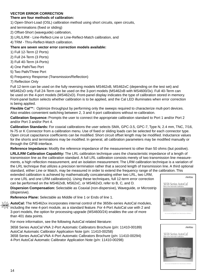# **VECTOR ERROR CORRECTION**

# **There are four methods of calibration:**

1) Open-Short-Load (OSL) calibration method using short circuits, open circuits,

- and terminations (fixed or sliding)
- 2) Offset-Short (waveguide) calibration,
- 3) LRL/LRM Line-Reflect-Line or Line-Reflect-Match calibration, and
- 4) TRM Thru-Reflect-Match calibration.

# **There are seven vector error correction models available:**

- 1) Full 12-Term (2 Ports)
- 2) Full 24-Term (3 Ports)
- 3) Full 40-Term (4-Ports)
- 4) One Path/Two Port
- 5) Two Path/Three Port
- 6) Frequency Response (Transmission/Reflection)
- 7) Reflection Only

Full 12-term can be used on the fully reversing models MS462xB, MS462xC (depending on the test set) and MS462xD only. Full 24-Term can be used on the 3-port models (MS462xB with MS4600/3x). Full 40-Term can be used on the 4-port models (MS462xD). Front-panel display indicates the type of calibration stored in memory. Front-panel button selects whether calibration is to be applied, and the Cal LED illuminates when error correction is being applied.

**Flexible Cal™:** Optimize throughput by performing only the sweeps required to characterize mult-port devices. Also enables convenient switching between 2, 3 and 4-port calibrations without re-calibration.

**Calibration Sequence:** Prompts the user to connect the appropriate calibration standard to Port 1 and/or Port 2 and/or Port 3 and/or Port 4.

**Calibration Standards:** For coaxial calibrations the user selects SMA, GPC-3.5, GPC-7, Type N, 2.4 mm, TNC, 7/16, N-75 or K Connector from a calibration menu. Use of fixed or sliding loads can be selected for each connector type. Open circuit capacitance coefficients can be modified. Short circuit offset length may be modified. Inductance values for the shorts and terminations may be modified. In general, all calibration parameters may be modified manually or through the GPIB interface.

**Reference Impedance:** Modify the reference impedance of the measurement to other than 50 ohms (but positive).

**LRL/LRM Calibration Capability:** The LRL calibration technique uses the characteristic impedance of a length of transmission line as the calibration standard. A full LRL calibration consists merely of two transmission line measurements, a high reflection measurement, and an isolation measurement. The LRM calibration technique is a variation of the LRL technique that utilizes a precision termination rather that a second length of transmission line. A third optional standard, either Line or Match, may be measured in order to extend the frequency range of the calibration. This

extended calibration is achieved by mathematically concatenating either two LRL, two LRM, or one LRL and one LRM calibration(s). Using these techniques, full 12-term error correction can be performed on the MS462xB, MS62xC, or MS462xD, refer to B, C, and D.

**Dispersion Compensation:** Selectable as Coaxial (non-dispersive), Waveguide, or Microstrip (dispersive).

**Reference Plane:** Selectable as Middle of line 1 or Ends of line 1.

**AutoCal:** The MS462xx incorporates internal control of the 3658x-series AutoCal modules, including the new 4-port module, as a standard feature. For 4-Port AutoCal use with 2 and 3-port models, the option for processing upgrade (MS4600/24) enables the use of more than 401 data points.

For more information, see the following AutoCal related literature:

3658 Series AutoCal VNA 2-Port Automatic Calibrators Brochure (p/n: 11410-00189) AutoCal Automatic Calibrator Application Note (p/n: 11410-00258) 3658 Series AutoCal VNA 4-Port Automatic Calbrators Brochure (p/n: 11410-00294) 4-Port AutoCal Automatic Calibrator Application Note (p/n: 11410-00298)





**NEW**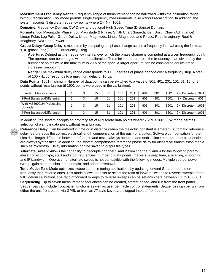**Measurement Frequency Range:** Frequency range of measurement can be narrowed within the calibration range without recalibration. CW mode permits single frequency measurements, also without recalibration. In addition, the system accepts N discrete frequency points where 2 < N < 1601.

**Domains:** Frequency Domain, CW Draw, and optional High Speed Time (Distance) Domain.

**Formats:** Log Magnitude, Phase, Log Magnitude & Phase, Smith Chart (Impedance), Smith Chart (Admittance), Linear Polar, Log Polar, Group Delay, Linear Magnitude, Linear Magnitude and Phase, Real, Imaginary, Real & Imaginary, SWR, and Power.

**Group Delay:** Group Delay is measured by computing the phase change across a frequency interval using the formula, <sup>τ</sup>*<sup>g</sup>* = -(phase (deg.))/ {360 . (frequency (Hz))}

**Aperture:** Defined as the frequency interval over which the phase change is computed at a given frequency point. The aperture can be changed without recalibration. The minimum aperture is the frequency span divided by the number of points while the maximum is 20% of the span. A larger aperture can be considered equivalent to increased smoothing.

**Range:** The maximum delay range corresponds to ±180 degrees of phase change over a frequency step. A step of 100 kHz corresponds to a maximum delay of 10 µs.

**Data Points:** 1601 maximum. Number of data points can be switched to a value of 801, 401, 201, 101, 51, 15, or 3 points without recalibration (if 1601 points were used in the calibration).

| <b>Standard Measurements</b>         |  | 15 | 51 | 101 | 201 | 401 | 801 | 1601 | $2 <$ Discrete $<$ 1601                |
|--------------------------------------|--|----|----|-----|-----|-----|-----|------|----------------------------------------|
| 3-Port Balanced/Differential         |  | 15 | 51 | 101 | 201 | 401 | 801 | 1601 | $2 <$ Discrete $<$ 401                 |
| With MS4600/24 Processing<br>Upgrade |  | 15 | 51 | 101 | 201 | 401 | 801 | 1601 | $2 <$ Discrete $<$ 1601 $\overline{ }$ |
| 4-Port Balanced/Differential         |  | 15 | 51 | 101 | 201 | 401 | 801 | 1601 | $2 <$ Discrete $<$ 1601                |

In addition, the system accepts an arbitrary set of N discrete data points where:  $2 < N < 1601$ . CW mode permits selection of a single data point without recalibration.

**NEW**

**Reference Delay:** Can be entered in time or in distance (when the dielectric constant is entered). Automatic reference delay feature adds the correct electrical length compensation at the push of a button. Software compensation for the electrical length difference between reference and test is always accurate and stable since measurement frequencies are always synthesized. In addition, the system compensates reference phase delay for dispersive transmission media such as microstrip. Delay information can be saved to output file types.

**Alternate Sweep:** Allows the capability to decouple channel 1 and 2 from channel 3 and 4 for the following parameters: correction type, start and stop frequencies, number of data points, markers, sweep time, averaging, smoothing and IF bandwidth. Operation of alternate sweep is not compatible with the following modes: Multiple source, power sweep, gain compression, time domain, and adapter removal.

**Tune Mode:** Tune Mode optimizes sweep speed in tuning applications by updating forward S-parameters more frequently than reverse ones. This mode allows the user to select the ratio of forward sweeps to reverse sweeps after a full 12-term calibration. The ratio of forward sweeps to reverse sweeps can be set anywhere between 1:1 to 10,000:1.

**Sequencing:** Up to seven measurement sequences can be created, stored, edited, and run from the front panel. Sequences can include front panel functions as well as user definable control statements. Sequences can be run from either the unit front panel, via GPIB, or from an AT-style keyboard plugged into the front panel.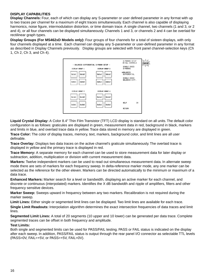#### **DISPLAY CAPABILITIES**

**Display Channels:** Four, each of which can display any S-parameter or user defined parameter in any format with up to two traces per channel for a maximum of eight traces simultaneously. Each channel is also capable of displaying harmonics, noise figure, intermodulation distortion, or time domain trace. A single channel, two channels (1 and 3, or 2 and 4), or all four channels can be displayed simultaneously. Channels 1 and 3, or channels 2 and 4 can be overlaid for rectilinear graph types.

**Display Groups (For MS462xD Models only):** Four groups of four channels for a total of sixteen displays, with only four channels displayed at a time. Each channel can display any S-parameter or user-defined parameter in any format as described in Display Channels previously. Display groups are selected with front panel channel-selection keys (Ch 1, Ch 2, Ch 3, and Ch 4).



**Liquid Crystal Display:** A Color 8.4" Thin Film Transistor (TFT) LCD display is standard on all units. The default color configuration is as follows: graticules are displayed in green, measurement data in red, background in black, markers and limits in blue, and overlaid trace data in yellow. Trace data stored in memory are displayed in green.

**Trace Color:** The color of display traces, memory, text, markers, background color, and limit lines are all user definable.

**Trace Overlay:** Displays two data traces on the active channel's graticule simultaneously. The overlaid trace is displayed in yellow and the primary trace is displayed in red.

**Trace Memory:** A separate memory for each channel can be used to store measurement data for later display or subtraction, addition, multiplication or division with current measurement data.

**Markers:** Twelve independent markers can be used to read out simultaneous measurement data. In alternate sweep mode there are sets of markers for each frequency sweep. In delta-reference marker mode, any one marker can be selected as the reference for the other eleven. Markers can be directed automatically to the minimum or maximum of a data trace.

**Enhanced Markers:** Marker search for a level or bandwidth, displaying an active marker for each channel, and discrete or continuous (interpolated) markers. Identifies the X dB bandwidth and ripple of amplifiers, filters and other frequency sensitive devices.

**Marker Sweep:** Sweeps upward in frequency between any two markers. Recalibration is not required during the marker sweep.

**Limit Lines:** Either single or segmented limit lines can be displayed. Two limit lines are available for each trace.

**Single Limit Readouts:** Interpolation algorithm determines the exact intersection frequencies of data traces and limit lines.

**Segmented Limit Lines:** A total of 20 segments (10 upper and 10 lower) can be generated per data trace. Complete segmented traces can be offset in both frequency and amplitude.

#### **Test Limits:**

Both single and segmented limits can be used for PASS/FAIL testing. PASS or FAIL status is indicated on the display after each sweep. In addition, PASS/FAIL status is output through the rear panel I/O connector as selectable TTL levels (PASS=0V, FAIL=+5V, or PASS=+5V, FAIL=0V).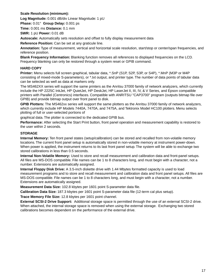# **Scale Resolution (minimum):**

**Log Magnitude:** 0.001 dB/div Linear Magnitude: 1 pU

**Phase:** 0.01° **Group Delay:** 0.001 ps

**Time:** 0.001 ms **Distance:** 0.1 mm

**SWR:** 1 pU **Power:** 0.01 dB

**Autoscale:** Automatically sets resolution and offset to fully display measurement data

**Reference Position:** Can be set at any graticule line.

**Annotation:** Type of measurement, vertical and horizontal scale resolution, start/stop or center/span frequencies, and reference position.

**Blank Frequency Information:** Blanking function removes all references to displayed frequencies on the LCD. Frequency blanking can only be restored through a system reset or GPIB command.

### **HARD COPY**

**Printer:** Menu selects full screen graphical, tabular data, \*.SnP (S1P, S2P, S3P, or S4P), \*.MnP (M3P or M4P consisting of mixed-mode S-parameters), or \*.txt output, and printer type. The number of data points of tabular data can be selected as well as data at markers only.

The MS462XX series will support the same printers as the Anritsu 37000 family of network analyzers, which currently include the HP 2225C InkJet, HP QuietJet, HP DeskJet, HP LaserJet II, III, IV, & V Series, and Epson compatible printers with Parallel (Centronics) interfaces. Compatible with ANRITSU "CAP3700" program (outputs bitmap file over GPIB) and provide bitmap output over front panel to disk.

**GPIB Plotters:** The MS462xx series will support the same plotters as the Anritsu 37000 family of network analyzers, which currently include HP Models 7440A, 7470A, and 7475A, and Tektronix Model HC100 plotters. Menu selects plotting of full or user-selected portions of

graphical data. The plotter is connected to the dedicated GPIB bus.

**Performance:** After selecting the Start Print button, front panel operation and measurement capability is restored to the user within 2 seconds.

#### **STORAGE**

**Internal Memory:** Ten front panel states (setup/calibration) can be stored and recalled from non-volatile memory locations. The current front panel setup is automatically stored in non-volatile memory at instrument power-down. When power is applied, the instrument returns to its last front panel setup. The system will be able to exchange two stored calibrations in less than 0.5 seconds.

**Internal Non-Volatile Memory:** Used to store and recall measurement and calibration data and front-panel setups. All files are MS-DOS compatible. File names can be 1 to 8 characters long, and must begin with a character, not a number. Extensions are automatically assigned.

**Internal Floppy Disk Drive:** A 3.5-inch diskette drive with 1.44 Mbytes formatted capacity is used to load measurement programs and to store and recall measurement and calibration data and front panel setups. All files are MS-DOS compatible. File names can be 1 to 8 characters long, and must begin with a character, not a number. Extensions are automatically assigned.

**Measurement Data Size:** 102.8 kbytes per 1601 point S-parameter data file.

**Calibration Data Size:** 187.3 kbytes per 1601 point S-parameter data file (12-term cal plus setup).

**Trace Memory File Size:** 12.8 kbytes per 1601 point channel.

**External SCSI-2 Drive Support:** Additional storage space is permitted through the use of an external SCSI-2 drive. When attached, the internal storage space is removed when using the external storage. Exchanging two stored calibrations becomes dependent on the performance of the external drive.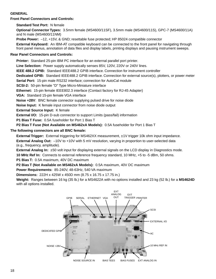# **GENERAL**

**Front Panel Connectors and Controls:**

**Standard Test Port:** N female

**Optional Connector Types:** 3.5mm female (MS4600/11SF), 3.5mm male (MS4600/11S), GPC-7 (MS4600/11A) and N male (MS4600/11NM)

**Probe Power:** –12, +15V, & GND; resettable fuse protected; HP 85024 compatible connector

**External Keyboard:** An IBM-AT compatible keyboard can be connected to the front panel for navigating through front panel menus, annotation of data files and display labels, printing displays and pausing instrument sweeps.

# **Rear Panel Connectors and Controls:**

**Printer:** Standard 25-pin IBM PC interface for an external parallel port printer.

**Line Selection:** Power supply automatically senses 85V, 120V, 220V or 240V lines.

**IEEE 488.2 GPIB:** Standard IEEE488.2 GPIB interface. Connection for instrument controller

**Dedicated GPIB:** Standard IEEE488.2 GPIB interface. Connection for external source(s), plotters, or power meter

**Serial Port:** 15-pin male RS232 interface; connection for AutoCal module

**SCSI-2:** 50-pin female "D" Type Micro-Miniature interface

**Ethernet:** 15-pin female IEEE802.3 interface (Contact factory for RJ-45 Adapter)

**VGA:** Standard 15-pin female VGA interface

**Noise +28V**: BNC female connector supplying pulsed drive for noise diode

**Noise Input:** K female input connector from noise diode output

**External Source Input:** K female

**External I/O:** 15-pin D-sub connector to support Limits (pass/fail) information

**P1 Bias T Fuse:** 0.5A fuseholder for Port 1 Bias T

**P2 Bias T Fuse (Not Available on MS462xA Models):** 0.5A fuseholder for Port 1 Bias T

# **The following connectors are all BNC female:**

**External Trigger:** External triggering for MS462XX measurement, ±1V trigger 10k ohm input impedance. **External Analog Out:**  $-10V$  to  $+10V$  with 5 mV resolution, varying in proportion to user-selected data (e.g., frequency, amplitude).

**External Analog In:** ±50 volt input for displaying external signals on the LCD display in Diagnostics mode. **10 MHz Ref In:** Connects to external reference frequency standard, 10 MHz, +5 to -5 dBm, 50 ohms.

**P1 Bias T:** 0.5A maximum, 40V DC maximum

**P2 Bias T (Not Available on MS462xA Models):** 0.5A maximum, 40V DC maximum

**Power Requirements:** 85-240V, 48-63Hz, 540 VA maximum

**Dimensions:** 222H x 425W x 450D mm (8.75 x 16.75 x 17.75 in.)

**Weight:** Ranges between 16 kg (35 lb.) for a MS4622A with no options installed and 23 kg (52 lb.) for a **MS4624D** with all options installed.

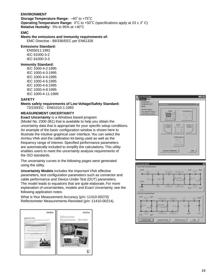### **ENVIRONMENT**

**Storage Temperature Range:** –40˚ to +75˚C **Operating Temperature Range:** 0˚C to +50˚C (specifications apply at 23 ± 3˚ C) **Relative Humidty:** 5% to 95% at +40˚C

#### **EMC**

**Meets the emissions and immunity requirements of:** EMC Directive - 89/336/EEC per EN61326

#### **Emissions Standard:**

EN55011:1991 IEC 61000-3-2 IEC 61000-3-3

#### **Immunity Standard:**

IEC 1000-4-2:1995 IEC 1000-4-3:1995 IEC 1000-4-4:1995 IEC 1000-4-5:1995 IEC 1000-4-6:1995 IEC 1000-4-8:1995 IEC 1000-4-11:1995

# **SAFETY**

**Meets safety requirements of Low Voltage/Safety Standard:** 72/23/EEC - EN61010-1:1993

#### **MEASUREMENT UNCERTAINTY**

**Exact Uncertainty** is a Windows based program (Model No. 2300-361) that is available to help you obtain the uncertainty data that is appropriate for your specific setup conditions. An example of the basic configuration window is shown here to illustrate the intuitive graphical user interface. You can select the Anritsu VNA and the calibration kit being used as well as the frequency range of interest. Specified performance parameters are automatically included to simplify the calculations. This utility enables users to meet the uncertainty analysis requirements of the ISO standards.

The uncertainty curves in the following pages were generated using the utility.

**Uncertainty Models** includes the important VNA effective parameters, test configuration parameters such as connector and cable performance and Device Under Test (DUT) parameters. The model leads to equations that are quite elaborate. For more explanation of uncertainties, models and Exact Uncertainty, see the following application notes:

What is Your Measurement Accuracy (p/n: 11410-00270) Reflectometer Measurements-Revisited (p/n: 11410-00214).





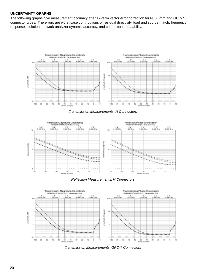#### **UNCERTAINTY GRAPHS**

The following graphs give measurement accuracy after 12-term vector error correction for N, 3.5mm and GPC-7 connector types. The errors are worst case contributions of residual directivity, load and source match, frequency response, isolation, network analyzer dynamic accuracy, and connector repeatability.



Transmission Measurements: N Connectors







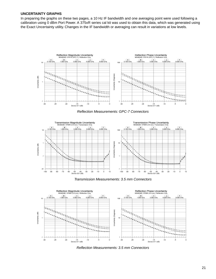#### **UNCERTAINTY GRAPHS**

In preparing the graphs on these two pages, a 10 Hz IF bandwidth and one averaging point were used following a calibration using 0 dBm Port Power. A 375xR series cal kit was used to obtain this data, which was generated using the Exact Uncertainty utility. Changes in the IF bandwidth or averaging can result in variations at low levels.



Reflection Measurements: GPC-7 Connectors



Transmission Measurements: 3.5 mm Connectors



Reflection Measurements: 3.5 mm Connectors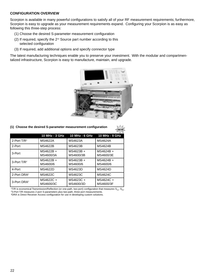#### **CONFIGURATION OVERVIEW**

Scorpion is available in many powerful configurations to satisfy all of your RF measurement requirements; furthermore, Scorpion is easy to upgrade as your measurement requirements expand. Configuring your Scorpion is as easy as following this three-step process:

- (1) Choose the desired S-parameter measurement configuration
- (2) If required, specify the  $2^{nd}$  Source part number according to this selected configuration
- (3) If required, add additional options and specify connector type

The latest manufacturing techniques enable you to preserve your investment. With the modular and compartmentalized infrastructure, Scorpion is easy to manufacture, maintain, and upgrade.



**NEW**

**(1) Choose the desired S-parameter measurement configuration**

|                           | 10 MHz - 3 GHz        | 10 MHz - 6 GHz         | 10 MHz - 9 GHz         |
|---------------------------|-----------------------|------------------------|------------------------|
| 2-Port $T/R$ <sup>1</sup> | MS4622A               | MS4623A                | MS4624A                |
| 2-Port                    | MS4622B               | MS4623B                | MS4624B                |
| 3-Port                    | MS4622B+<br>MS4600/3A | MS4623B +<br>MS4600/3B | MS4624B +<br>MS4600/3E |
| 3-Port $T/R^2$            | MS4622B+<br>MS4600/6  | MS4623B +<br>MS4600/6  | MS4624B +<br>MS4600/6  |
| 4-Port                    | MS4622D               | MS4623D                | MS4624D                |
| 2-Port DRA <sup>3</sup>   | MS4622C               | MS4623C                | MS4624C                |
| 3-Port DRA <sup>3</sup>   | MS4622C+<br>MS4600/3C | MS4623C+<br>MS4600/3D  | MS4624C+<br>MS4600/3F  |

1T/R is economical Transmission/Reflection (or one-path, two-port) configuration that measures  $S_{11}$ ,  $S_{21}$ .  $S_{3}$ -<br><sup>2</sup>3-Port T/R measures 2-port S-parameters plus two-path, three-port measurements. 3DRA is Direct Receiver Access configuration for use in developing custom solutions.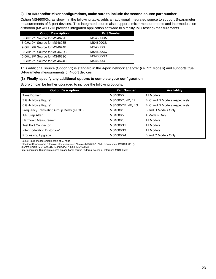#### **2) For IMD and/or Mixer configurations, make sure to include the second source part number**

Option MS4600/3x, as shown in the following table, adds an additional integrated source to support S-parameter measurements of 3-port devices. This integrated source also supports mixer measurements and intermodulation distortion (MS4600/13 provides integrated application software to simplify IMD testing) measurements.

| <b>Option Description</b>                | <b>Part Number</b> |  |
|------------------------------------------|--------------------|--|
| 3 GHz 2nd Source for MS4622B             | MS4600/3A          |  |
| 6 GHz 2nd Source for MS4623B             | MS4600/3B          |  |
| 9 GHz 2nd Source for MS4624B             | MS4600/3E          |  |
| 3 GHz 2 <sup>nd</sup> Source for MS4622C | MS4600/3C          |  |
| 6 GHz 2nd Source for MS4623C             | MS4600/3D          |  |
| 9 GHz 2nd Source for MS4624C             | MS4600/3F          |  |

This additional source (Option 3x) is standard in the 4-port network analyzer (i.e. "D" Models) and supports true S-Parameter measurements of 4-port devices.

#### **(3) Finally, specify any additional options to complete your configuration**

Scorpion can be further upgraded to include the following options:

| <b>Option Description</b>                | <b>Part Number</b> | <b>Availablity</b>             |
|------------------------------------------|--------------------|--------------------------------|
| Time Domain                              | MS4600/2           | All Models                     |
| 3 GHz Noise Figure <sup>1</sup>          | MS4600/4, 4D, 4F   | B, C and D Models respectively |
| 6 GHz Noise Figure <sup>1</sup>          | MS4600/4B, 4E, 4G  | B, C and D Models respectively |
| Frequency Translating Group Delay (FTGD) | MS4600/5           | <b>B</b> and D Models Only     |
| T/R Step Atten                           | MS4600/7           | A Models Only                  |
| Harmonic Measurement                     | MS4600/8           | All Models                     |
| Test Port Connector <sup>2</sup>         | MS4600/11          | All Models                     |
| Intermodulation Distortion <sup>3</sup>  | MS4600/13          | All Models                     |
| <b>Processing Upgrade</b>                | MS4600/24          | <b>B</b> and C Models Only     |

1Noise Figure measurements start at 50 MHz

2Standard Connector is N-female, also available is N male (MS4600/11NM), 3.5mm male (MS4600/11S),

3.5mm female (MS4600/11SF), and GPC-7 male (MS4600/A)

3Intermodulation Distortion requires an additional source (external source or reference MS4600/3x)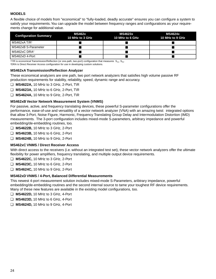# **MODELS**

A flexible choice of models from "economical" to "fully-loaded, deadly accurate" ensures you can configure a system to satisfy your requirements.You can upgrade the model between frequency ranges and configurations as your requirements change for additional value.

| <b>Configuration Summary</b> | MS462x<br>10 MHz to 3 GHz | MS4623x<br>10 MHz to 6 GHz | <b>MS4624x</b><br>10 MHz to 9 GHz |
|------------------------------|---------------------------|----------------------------|-----------------------------------|
| $MS462xA$ T/R <sup>1</sup>   |                           |                            |                                   |
| MS462xB S-Parameter          |                           |                            |                                   |
| $MS462xC$ DRA <sup>2</sup>   |                           |                            |                                   |
| MS462xD 4-Port               |                           |                            |                                   |

1T/R is economical Transmission/Reflection (or one-path, two-port) configuration that measures  $S_{11}$ ,  $S_{21}$ .

2DRA is Direct Receiver Access configuration for use in developing custom solutions.

#### **MS462xA Transmission/Reflection Analyzer**

These economical analyzers are one path, two port network analyzers that satisfies high volume passive RF production requirements for stability, reliability, speed, dynamic range and accuracy.

- ❏ **MS4622A,** 10 MHz to 3 GHz, 2-Port, T\R
- ❏ **MS4623A,** 10 MHz to 6 GHz, 2-Port, T\R
- ❏ **MS4624A,** 10 MHz to 9 GHz, 2-Port, T\R

#### **MS462xB Vector Network Measurement System (VNMS)**

For passive, active, and frequency translating devices, these powerful S-parameter configurations offer the performance, ease-of-use and versatility of a vector network analyzer (VNA) with an amazing twist: integrated options that allow 3-Port, Noise Figure, Harmonic, Frequency Translating Group Delay and Intermodulation Distortion (IMD) measurements. The 3-port configuration includes mixed-mode S-parameters, arbitrary impedance and powerful embedding/de-embedding routines, too.

- ❏ **MS4622B,** 10 MHz to 3 GHz, 2-Port
- ❏ **MS4623B,** 10 MHz to 6 GHz, 2-Port
- ❏ **MS4624B,** 10 MHz to 9 GHz, 2-Port

#### **MS462xC VNMS / Direct Receiver Access**

With direct access to the receivers (i.e. without an integrated test set), these vector network analyzers offer the ultimate flexibility for power amplifiers, frequency translating, and multiple output device requirements.

- ❏ **MS4622C,** 10 MHz to 3 GHz, 2-Port
- ❏ **MS4623C,** 10 MHz to 6 GHz, 2-Port
- ❏ **MS4624C,** 10 MHz to 9 GHz, 2-Port

#### **MS462xD VNMS / 4-Port, Balanced Differential Measurements**

This newest 4-port measurement solution includes mixed-mode S-Parameters, aribtrary impedance, powerful embedding/de-embedding routines and the second internal source to tame your toughest RF device requirements. Many of these new features are available in the existing model configurations, too.

- ❏ **MS4622D,** 10 MHz to 3 GHz, 4-Port
- ❏ **MS4623D,** 10 MHz to 6 GHz, 4-Port
- ❏ **MS4624D,** 10 MHz to 9 GHz, 4-Port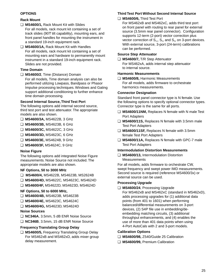# **OPTIONS**

# **Rack Mount**

- ❏ **MS4600/1,** Rack Mount Kit with Slides For all models, rack mount kit containing a set of track slides (90ϒ tilt capability), mounting ears, and front panel handles for mounting the instrument in a standard 19-inch equipment rack.
- ❏ **MS4600/1A,** Rack Mount Kit with Handles For all models, rack mount kit containing a set of mounting ears and hardware to permanently mount instrument in a standard 19-inch equipment rack. Slides are not provided.

# **Time Domain**

❏ **MS4600/2**, Time (Distance) Domain For all models, Time domain analysis can also be performed utilizing Lowpass, Bandpass or Phasor Impulse processing techniques. Windows and Gating support additional conditioning to further enhance time domain processing.

# **Second Internal Source,Third Test Port**

The following options add internal second source, third test port and test attenuator. The appropriate models are also shown.

- ❏ **MS4600/3A,** MS4622B, 3 GHz
- ❏ **MS4600/3B,** MS4623B, 6 GHz
- ❏ **MS4600/3C,** MS4622C, 3 GHz
- ❏ **MS4600/3D,** MS4623C, 6 GHz
- ❏ **MS4600/3E,** MS4624B, 9 GHz
- ❏ **MS4600/3F,** MS4624C, 9 GHz

# **Noise Figure**

The following options add integrated Noise Figure measurements. Noise Source not included. The appropriate models are also shown.

#### **NF Options, 50 to 3000 MHz**

- ❏ **MS4600/4,** MS4622B, MS4623B, MS2624B
- ❏ **MS4600/4D,** MS4622C, MS4623C, MS4624D
- ❏ **MS4600/4F,** MS4622D, MS4623D, MS4624D

# **NF Options, 50 to 6000 MHz,**

- ❏ **MS4600/4B,** MS4623B, MS4623B
- ❏ **MS4600/4E,** MS4623C, MS4624C
- ❏ **MS4600/4G,** MS4623D, MS4624D

# **Noise Sources**

- ❏ **NC346A**, 3.5mm, 5 dB ENR Noise Source
- ❏ **NC346B**, 3.5mm, 15 dB ENR Noise Source

# **Frequency Translating Group Delay**

❏ **MS4600/5,** Frequency Translating Group Delay For MS462xB and MS462xD, adds mixer group delay measurement.

# **Third Test Port Without Second Internal Source**

❏ **MS4600/6,** Third Test Port

For MS462xB and MS462xC, adds third test port on front panel with routing to rear panel for external source (3.5mm rear panel connector). Configuration supports 12-term (2-port) vector correction plus vector correction of  $S_{11}$ ,  $S_{21}$  and  $S_{31}$  on 3-port devices. With external source, 3-port (24-term) calibrations can be performed.

### **Source Step Attenuator**

❏ **MS4600/7,** T/R Step Attenuator For MS462xA, adds internal step attenuator to internal source.

#### **Harmonic Measurements**

❏ **MS4600/8,** Harmonic Measurements For all models, adds firmware to orchestrate harmonics measurements.

#### **Connector Designation**

Standard front panel connector type is N female. Use the following options to specify optional connector types. Connector type is the same for all ports.

- ❏ **MS4600/11NM,** Replaces N female with N male Test Port Adapters
- ❏ **MS4600/11S,** Replaces N female with 3.5mm male Test Port Adapters
- ❏ **MS4600/11SF,** Replaces N female with 3.5mm female Test Port Adapters
- ❏ **MS4600/11A,** Replaces N female with GPC-7 male Test Port Adapters

#### **Intermodulation Distortion Measurements**

❏ **MS4600/13,** Intermodulation Distortion **Measurements** 

For all models, adds firmware to orchestrate CW, swept frequency and swept power IMD measurements. Second source is required (reference MS4600/3x) or external source can be used.

#### **Processing Upgrade**

❏ **MS4600/24**, Processing Upgrade For MS462xB and MS462xC (standard in MS462xD), adds processing upgrades for (1) additional data points (from 401 to 1601) when performing balanced/differential measurements on 3-port devices, (2) S4P file use in embedding/deembedding matching circuits, (3) additional throughput enhancements, and (4) enables the use of more than 401 data points when using 4-Port AutoCals with 2 and 3-port models.

# **Calibration Options**

- ❏ **MS4600/98,** Z540/Guide 25 Calibration
- ❏ **MS4600/99,** Premium Calibration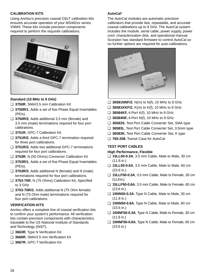# **CALIBRATION KITS**

Using Anritsu's precision coaxial OSLT calibration kits ensures accurate operation of your MS462xx series VNMS. These kits include precision components required to perform the requisite calibrations.



# **Standard (10 MHz to 9 GHz)**

- ❏ **3750R**, SMA/3.5 mm Calibration Kit
- ❏ **3750R/1**, Adds a set of five Phase Equal Insertables (PEIs).
- ❏ **3750R/3**, Adds additional 3.5 mm (female) and 3.5 mm (male) terminations required for four port calibrations.
- ❏ **3751R**, GPC-7 Calibration Kit
- ❏ **3751R/2**, Adds a third GPC-7 termination required for three port calibrations.
- ❏ **3751R/3**, Adds two additional GPC-7 terminations required for four port calibrations.
- ❏ **3753R**, N (50 Ohms) Connector Calibration Kit
- ❏ **3753R/1**, Adds a set of five Phase Equal Insertables (PEIs).
- ❏ **3753R/3**, Adds additional N (female) and N (male) terminations required for four port calibrations.
- ❏ **3753-75R**, N (75 Ohms) Calibration Kit, Specified to 3 GHz
- ❏ **3753-75R/3**, Adds additional N (75 Ohm female) and N (75 Ohm male) terminations required for four port calibrations.

#### **VERIFICATION KITS**

Anritsu offers a complete line of coaxial verification kits to confirm your system's performance. All verification kits contain precision components with characteristics traceable to the US National Institute of Standards and Technology (NIST).

- ❏ **3663R**, Type N Verification Kit
- ❏ **3666R**, SMA/3.5 mm Verification Kit
- ❏ **3667R**, GPC-7 Verification Kit

# **AutoCal®**

The AutoCal modules are automatic precision calibrators that provide fast, repeatable, and accurate coaxial calibrations up to 9 GHz. The AutoCal system includes the module, serial cable, power supply, power cord, characterization disk, and operational manual. Scorpion has standard firmware to control AutoCal so no further options are required for auto-calibrations.



- ❏ **36581NNF/2**, N(m) to N(f), 10 MHz to 9 GHz
- ❏ **36581KKF/2**, K(m) to K(f), 10 MHz to 9 GHz
- ❏ **36584KF,** 4-Port K(f), 10 MHz to 9 GHz
- ❏ **36584NF,** 4-Port N(f), 10 MHz to 9 GHz
- ❏ **36583S**, Test Port Cable Converter Set, SMA type
- ❏ **36583L**, Test Port Cable Converter Set, 3.5mm type
- ❏ **36583K**, Test Port Cable Converter Set, K type
- ❏ **760-208**, Transit Case for AutoCal

#### **TEST PORT CABLES**

#### **High Performance, Flexible**

- ❏ **15LL50-0.3A**, 3.5 mm Cable, Male to Male, 30 cm (11.8 in.)
- ❏ **15LL50-0.6A**, 3.5 mm Cable, Male to Male, 60 cm (23.6 in.)
- ❏ **15LLF50-0.3A**, 3.5 mm Cable, Male to Female, 30 cm (11.8 in.)
- ❏ **15LLF50-0.6A**, 3.5 mm Cable, Male to Female, 60 cm (23.6 in.)
- ❏ **15NN50-0.3A**, Type N Cable, Male to Male, 30 cm (11.8 in.)
- ❏ **15NN50-0.6A**, Type N Cable, Male to Male, 60 cm (23.6 in.)
- ❏ **15NNF50-0.3A**, Type N Cable, Male to Female, 30 cm (11.8 in.)
- ❏ **15NNF50-0.6A**, Type N Cable, Male to Female, 60 cm (23.6 in.)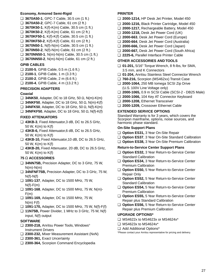## **Economy, Armored Semi-Rigid**

- ❏ **3670A50-1**, GPC-7 Cable, 30.5 cm (1 ft.)
- ❏ **3670A50-2**, GPC-7 Cable, 61 cm (2 ft.)
- ❏ **3670K50-1**, K(f)-K(m) Cable, 30.5 cm (1 ft.)
- ❏ **3670K50-2**, K(f)-K(m) Cable, 61 cm (2 ft.)
- ❏ **3670KF50-1**, K(f)-K(f) Cable, 30.5 cm (1 ft.)
- ❏ **3670KF50-2**, K(f)-K(f) Cable, 61 cm (2 ft.)
- ❏ **3670N50-1**, N(f)-N(m) Cable, 30.5 cm (1 ft.)
- ❏ **3670N50-2**, N(f)-N(m) Cable, 61 cm (2 ft.)
- ❏ **3670NN50-1**, N(m)-N(m) Cable, 30.5 cm (1 ft.)
- ❏ **3670NN50-2**, N(m)-N(m) Cable, 61 cm (2 ft.)

# **GPIB CABLES**

- ❏ **2100-5**, GPIB Cable, 0.5 m (1.6 ft.)
- ❏ **2100-1**, GPIB Cable, 1 m (3.3 ft.)
- ❏ **2100-2**, GPIB Cable, 2 m (6.6 ft.)
- ❏ **2100-4**, GPIB Cable, 4 m (13.2 ft.)

# **PRECISION ADAPTERS**

# **Coaxial**

- ❏ **34NK50**, Adapter, DC to 18 GHz, 50 Ω, N(m)-K(m)
- ❏ **34NKF50**, Adapter, DC to 18 GHz, 50 Ω, N(m)-K(f)
- ❏ **34NFK50**, Adapter, DC to 18 GHz, 50 Ω, N(f)-K(m)
- ❏ **34NFKF50**, Adapter, DC to 18 GHz, 50 Ω, N(f)-K(f)

# **FIXED ATTENUATORS**

- ❏ **43KB-3**, Fixed Attenuator,3 dB, DC to 26.5 GHz, 50 W, K(m) to K(f)
- ❏ **43KB-6,** Fixed Attenuator,6 dB, DC to 26.5 GHz, 50 W, K(m) to K(f)
- ❏ **43KB-10,** Fixed Attenuator,10 dB, DC to 26.5 GHz, 50 W, K(m) to K(f)
- ❏ **43KB-20,** Fixed Attenuator, 20 dB, DC to 26.5 GHz, 50 W, K(m) to K(f)

# **75** Ω **ACCESSORIES**

- ❏ **34NN75B,** Precision Adapter, DC to 3 GHz, 75 W,  $N(m)-N(m)$
- ❏ **34NFNF75B,** Precision Adapter, DC to 3 GHz, 75 W,  $N(f) - N(f)$
- ❏ **1091-137**, Adapter, DC to 1500 MHz, 75 W,  $N(f)-F(m)$
- ❏ **1091-168**, Adapter, DC to 1500 MHz, 75 W, N(m)-  $F(m)$
- ❏ **1091-169,** Adapter, DC to 1500 MHz, 75 W,  $N(m)$   $F(f)$
- ❏ **1091-170,** Adapter, DC to 1500 MHz, 75 W, N(f)-F(f)
- ❏ **11N75B,** Power Divider, 1 MHz to 3 GHz, 75 W, N(f) input, N(f) output

# **SOFTWARE**

- ❏ **2300-218,** Anritsu Power Tools, Windows® Instrument Drivers
- ❏ **2300-232,** Mixer Measurement Assistant (NxN)
- ❏ **2300-361,** Exact Uncertainty
- ❏ **2300-364,** Scorpion Command Encyclopedia

# **PRINTER**

- ❏ **2000-1214,** HP Desk Jet Printer, Model 450
- ❏ **2000-1216,** Black Printer Cartridge, Model 450
- ❏ **2000-1217,** Rechargeable Battery, Model 450
- ❏ **2000-1218,** Desk Jet Power Cord (UK)
- ❏ **2000-663**, Desk Jet Power Cord (Europe)
- ❏ **2000-664**, Desk Jet Power Cord (Australia)
- ❏ **2000-666,** Desk Jet Power Cord (Japan)
- ❏ **2000-667,** Desk Jet Power Cord (South Africa)
- ❏ **2225-6,** Parallel Interface Printer Cable

# **OTHER ACCESSORIES AND TOOLS**

- ❏ **01-201,** 5/16" Torque Wrench, 8 ft-lbs, for SMA, 3.5 mm, and K Connectors
- ❏ **01-204,** Anritsu Stainless Steel Connector Wrench
- ❏ **760-216,** Scorpion (MS462xx) Transit Case
- ❏ **2000-1064,** 250 MB Iomega SCSI Zip Drive (U.S. 100V Line Voltage only)
- ❏ **2000-1065,** 0.9 m SCSI Cable (SCSI-2 DB25 Male)
- ❏ **2000-1066,** 104 Key AT Connector Keyboard
- ❏ **2000-1208,** Ethernet Transceiver
- ❏ **2000-1209,** Crossover Ethernet Cable

# **EXTENDED SERVICE OPTIONS**

Standard Warranty is for 3 years, which covers the Scorpion mainframe, options, noise sources, and harmonic phase standard.

#### **On-Site Support Plans**

- ❏ **Option ES31,** 3 Year On-Site Repair
- ❏ **Option ES37**, 3 Year On-Site Standard Calibration
- ❏ **Option ES38,** 3 Year On-Site Premium Calibration

#### **Return-to-Service Center Support Plans**

- ❏ **Option ES32,** 3 Year Return-to-Service Center Standard Calibration
- ❏ **Option ES34,** 3 Year Return-to-Service Center Premium Calibration
- ❏ **Option ES50,** 5 Year Return-to-Service Center Repair Only
- ❏ **Option ES52,** 5 Year Return-to-Service Center Standard Calibration
- ❏ **Option ES54,** 5 Year Return-to-Service Center Premium Calibration
- ❏ **Option ES55,** 5 Year Return-to-Service Center Repair plus Standard Calibration
- ❏ **Option ES56,** 5 Year Return-to-Service Center Repair plus Premium Calibration

#### **UPGRADE OPTIONS\***

- ❏ MS4622x to MS4623x or MS4624x\*
- $\Box$  MS4623x to MS4624x\*
- ❏ Add Additional Options\*
- \*Please contact your Anritsu representative for pricing and delivery.